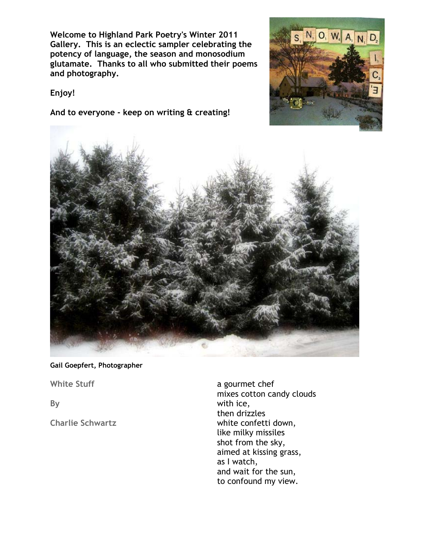**Welcome to Highland Park Poetry's Winter 2011 Gallery. This is an eclectic sampler celebrating the potency of language, the season and monosodium glutamate. Thanks to all who submitted their poems and photography.** 

N, O, W, A, N, D,

## **Enjoy!**

**And to everyone - keep on writing & creating!**



## **Gail Goepfert, Photographer**

**White Stuff** 

**By** 

**Charlie Schwartz**

a gourmet chef mixes cotton candy clouds with ice, then drizzles white confetti down, like milky missiles shot from the sky, aimed at kissing grass, as I watch, and wait for the sun, to confound my view.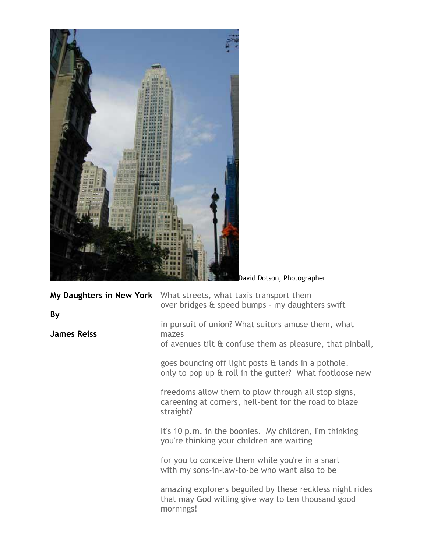

in pursuit of union? What suitors amuse them, what

of avenues tilt & confuse them as pleasure, that pinball,

goes bouncing off light posts & lands in a pothole, only to pop up & roll in the gutter? What footloose new

freedoms allow them to plow through all stop signs, careening at corners, hell-bent for the road to blaze straight?

It's 10 p.m. in the boonies. My children, I'm thinking you're thinking your children are waiting

for you to conceive them while you're in a snarl with my sons-in-law-to-be who want also to be

amazing explorers beguiled by these reckless night rides that may God willing give way to ten thousand good mornings!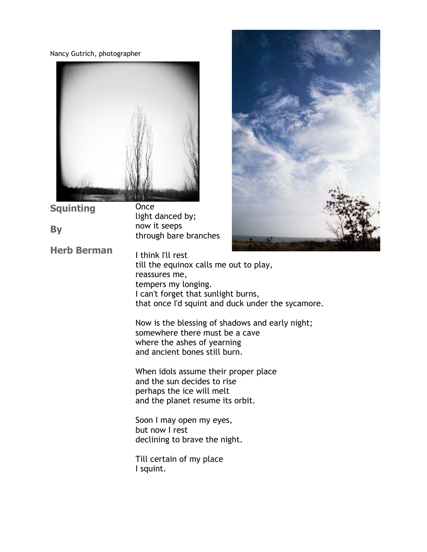Nancy Gutrich, photographer

**Squinting**

**Herb Berman**

**By** 



**Once** light danced by; now it seeps through bare branches



I think I'll rest till the equinox calls me out to play, reassures me, tempers my longing. I can't forget that sunlight burns, that once I'd squint and duck under the sycamore.

Now is the blessing of shadows and early night; somewhere there must be a cave where the ashes of yearning and ancient bones still burn.

When idols assume their proper place and the sun decides to rise perhaps the ice will melt and the planet resume its orbit.

Soon I may open my eyes, but now I rest declining to brave the night.

Till certain of my place I squint.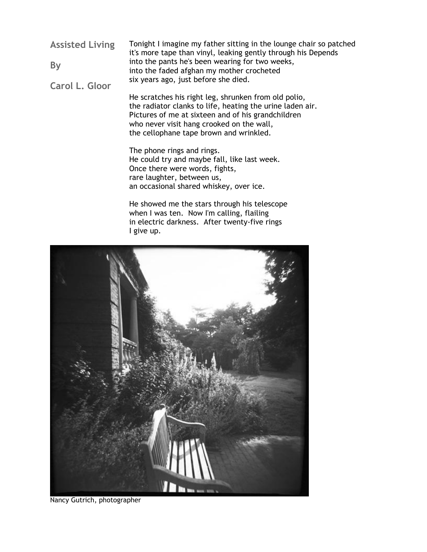**Assisted Living By Carol L. Gloor** Tonight I imagine my father sitting in the lounge chair so patched it's more tape than vinyl, leaking gently through his Depends into the pants he's been wearing for two weeks, into the faded afghan my mother crocheted six years ago, just before she died.

> He scratches his right leg, shrunken from old polio, the radiator clanks to life, heating the urine laden air. Pictures of me at sixteen and of his grandchildren who never visit hang crooked on the wall, the cellophane tape brown and wrinkled.

The phone rings and rings. He could try and maybe fall, like last week. Once there were words, fights, rare laughter, between us, an occasional shared whiskey, over ice.

He showed me the stars through his telescope when I was ten. Now I'm calling, flailing in electric darkness. After twenty-five rings I give up.



Nancy Gutrich, photographer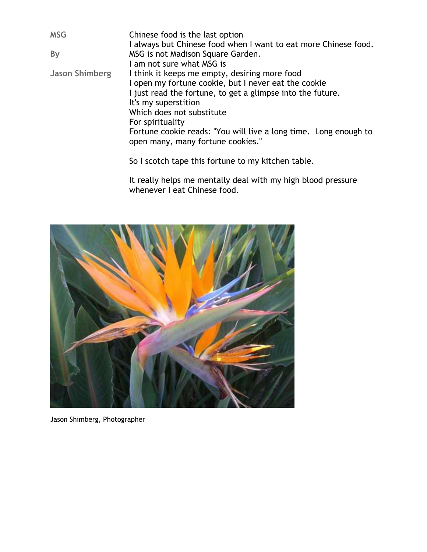| <b>MSG</b>            | Chinese food is the last option                                  |
|-----------------------|------------------------------------------------------------------|
|                       | I always but Chinese food when I want to eat more Chinese food.  |
| By                    | MSG is not Madison Square Garden.                                |
|                       | I am not sure what MSG is                                        |
| <b>Jason Shimberg</b> | I think it keeps me empty, desiring more food                    |
|                       | I open my fortune cookie, but I never eat the cookie             |
|                       | I just read the fortune, to get a glimpse into the future.       |
|                       | It's my superstition                                             |
|                       | Which does not substitute                                        |
|                       | For spirituality                                                 |
|                       | Fortune cookie reads: "You will live a long time. Long enough to |
|                       | open many, many fortune cookies."                                |
|                       | So I scotch tape this fortune to my kitchen table.               |

It really helps me mentally deal with my high blood pressure whenever I eat Chinese food.



Jason Shimberg, Photographer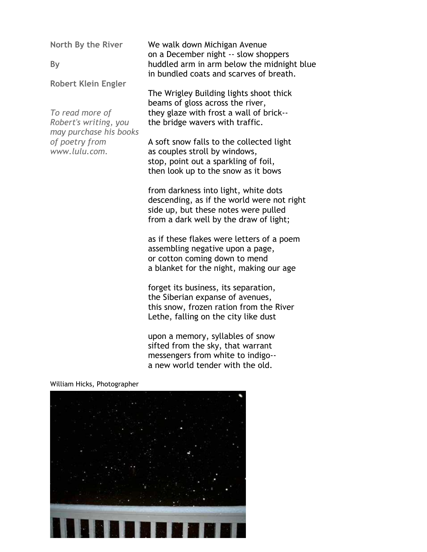**North By the River** 

**By** 

**Robert Klein Engler**

*To read more of Robert's writing, you may purchase his books of poetry from www.lulu.com.* 

We walk down Michigan Avenue on a December night -- slow shoppers huddled arm in arm below the midnight blue in bundled coats and scarves of breath.

The Wrigley Building lights shoot thick beams of gloss across the river, they glaze with frost a wall of brick- the bridge wavers with traffic.

A soft snow falls to the collected light as couples stroll by windows, stop, point out a sparkling of foil, then look up to the snow as it bows

from darkness into light, white dots descending, as if the world were not right side up, but these notes were pulled from a dark well by the draw of light;

as if these flakes were letters of a poem assembling negative upon a page, or cotton coming down to mend a blanket for the night, making our age

forget its business, its separation, the Siberian expanse of avenues, this snow, frozen ration from the River Lethe, falling on the city like dust

upon a memory, syllables of snow sifted from the sky, that warrant messengers from white to indigo- a new world tender with the old.

William Hicks, Photographer

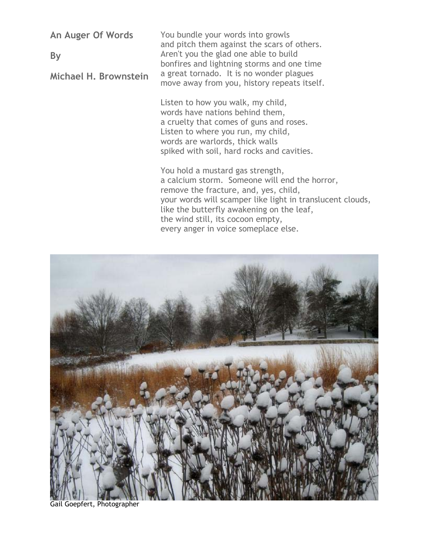**An Auger Of Words**

**By**

**Michael H. Brownstein**

You bundle your words into growls and pitch them against the scars of others. Aren't you the glad one able to build bonfires and lightning storms and one time a great tornado. It is no wonder plagues move away from you, history repeats itself.

Listen to how you walk, my child, words have nations behind them, a cruelty that comes of guns and roses. Listen to where you run, my child, words are warlords, thick walls spiked with soil, hard rocks and cavities.

You hold a mustard gas strength, a calcium storm. Someone will end the horror, remove the fracture, and, yes, child, your words will scamper like light in translucent clouds, like the butterfly awakening on the leaf, the wind still, its cocoon empty, every anger in voice someplace else.



Gail Goepfert, Photographer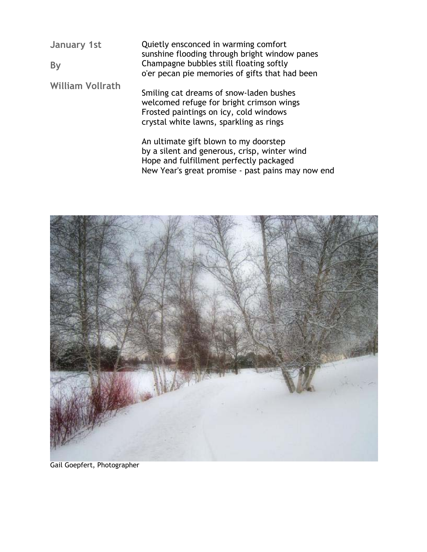**January 1st By William Vollrath** Quietly ensconced in warming comfort sunshine flooding through bright window panes Champagne bubbles still floating softly o'er pecan pie memories of gifts that had been Smiling cat dreams of snow-laden bushes welcomed refuge for bright crimson wings Frosted paintings on icy, cold windows crystal white lawns, sparkling as rings

> An ultimate gift blown to my doorstep by a silent and generous, crisp, winter wind Hope and fulfillment perfectly packaged New Year's great promise - past pains may now end



Gail Goepfert, Photographer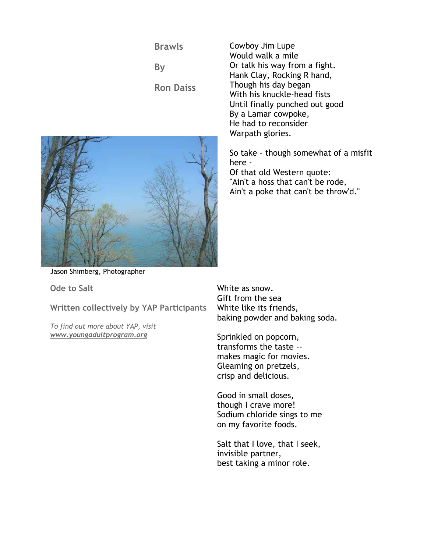**Brawls**

**By**

**Ron Daiss**



Cowboy Jim Lupe Would walk a mile Or talk his way from a fight. Hank Clay, Rocking R hand, Though his day began With his knuckle-head fists Until finally punched out good By a Lamar cowpoke, He had to reconsider Warpath glories.

So take - though somewhat of a misfit here - Of that old Western quote: "Ain't a hoss that can't be rode, Ain't a poke that can't be throw'd."

Jason Shimberg, Photographer

**Ode to Salt** 

**Written collectively by YAP Participants** 

*To find out more about YAP, visit www.youngadultprogram.org*

White as snow. Gift from the sea White like its friends, baking powder and baking soda.

Sprinkled on popcorn, transforms the taste - makes magic for movies. Gleaming on pretzels, crisp and delicious.

Good in small doses, though I crave more! Sodium chloride sings to me on my favorite foods.

Salt that I love, that I seek, invisible partner, best taking a minor role.